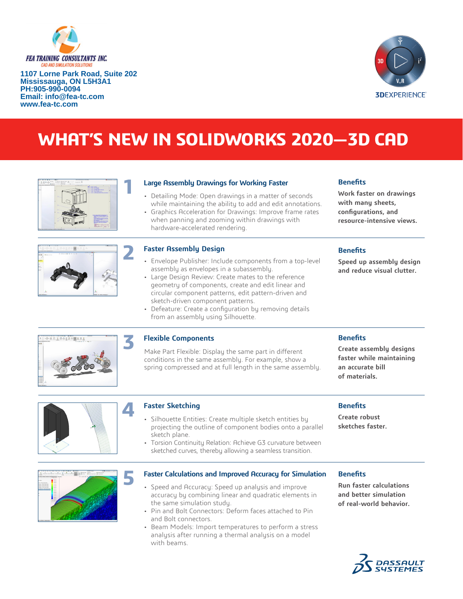

**1107 Lorne Park Road, Suite 202 Mississauga, ON L5H3A1 PH:905-990-0094 Email: info@fea-tc.com www.fea-tc.com**



# **WHAT'S NEW IN SOLIDWORKS 2020—3D CAD**



#### **Large Assembly Drawings for Working Faster**

- Detailing Mode: Open drawings in a matter of seconds while maintaining the ability to add and edit annotations.
- Graphics Acceleration for Drawings: Improve frame rates
- when panning and zooming within drawings with

# **resource-intensive views.**

**Benefits**

**Benefits**

**Work faster on drawings with many sheets, configurations, and** 

**Speed up assembly design and reduce visual clutter.**



#### **Faster Assembly Design**

hardware-accelerated rendering.

- Envelope Publisher: Include components from a top-level assembly as envelopes in a subassembly.
- Large Design Review: Create mates to the reference geometry of components, create and edit linear and circular component patterns, edit pattern-driven and sketch-driven component patterns.
- Defeature: Create a configuration by removing details from an assembly using Silhouette.

#### **Flexible Components**

Make Part Flexible: Display the same part in different conditions in the same assembly. For example, show a spring compressed and at full length in the same assembly. **Benefits**

**Create assembly designs faster while maintaining an accurate bill of materials.**



#### **Faster Sketching**

**4**

- Silhouette Entities: Create multiple sketch entities by projecting the outline of component bodies onto a parallel sketch plane.
- Torsion Continuity Relation: Achieve G3 curvature between sketched curves, thereby allowing a seamless transition.

#### **Benefits**

**Create robust sketches faster.**

**5**

#### **Faster Calculations and Improved Accuracy for Simulation**

- Speed and Accuracy: Speed up analysis and improve accuracy by combining linear and quadratic elements in the same simulation study.
- Pin and Bolt Connectors: Deform faces attached to Pin and Bolt connectors.
- Beam Models: Import temperatures to perform a stress analysis after running a thermal analysis on a model with beams.

# **Benefits**

**Run faster calculations and better simulation of real-world behavior.**